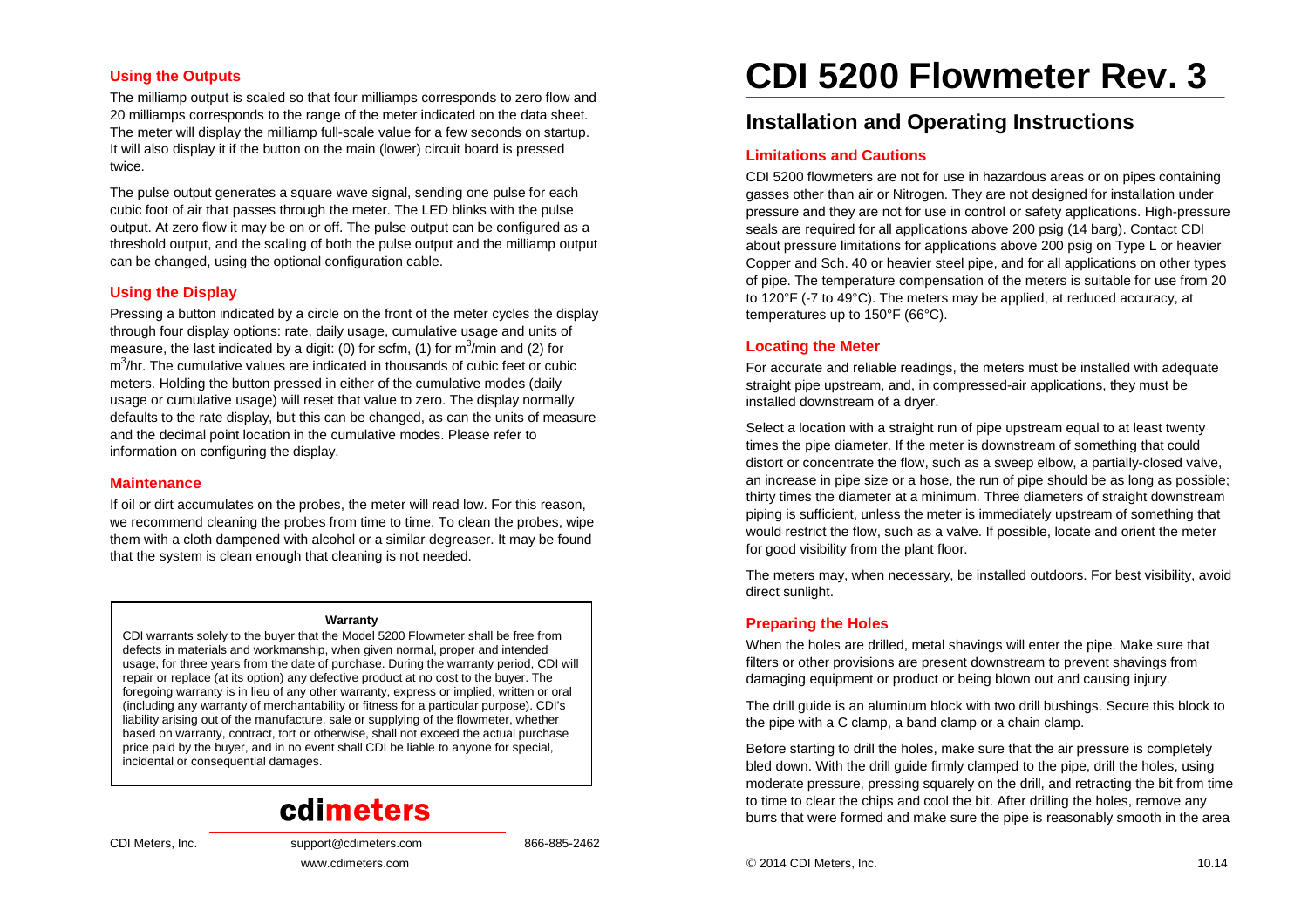#### **Using the Outputs**

The milliamp output is scaled so that four milliamps corresponds to zero flow and 20 milliamps corresponds to the range of the meter indicated on the data sheet. The meter will display the milliamp full-scale value for a few seconds on startup. It will also display it if the button on the main (lower) circuit board is pressed twice.

The pulse output generates a square wave signal, sending one pulse for each cubic foot of air that passes through the meter. The LED blinks with the pulse output. At zero flow it may be on or off. The pulse output can be configured as a threshold output, and the scaling of both the pulse output and the milliamp output can be changed, using the optional configuration cable.

## **Using the Display**

Pressing a button indicated by a circle on the front of the meter cycles the display through four display options: rate, daily usage, cumulative usage and units of measure, the last indicated by a digit: (0) for scfm, (1) for m<sup>3</sup>/min and (2) for  $\text{m}^3$ /hr. The cumulative values are indicated in thousands of cubic feet or cubic meters. Holding the button pressed in either of the cumulative modes (daily usage or cumulative usage) will reset that value to zero. The display normally defaults to the rate display, but this can be changed, as can the units of measure and the decimal point location in the cumulative modes. Please refer to information on configuring the display.

#### **Maintenance**

If oil or dirt accumulates on the probes, the meter will read low. For this reason, we recommend cleaning the probes from time to time. To clean the probes, wipe them with a cloth dampened with alcohol or a similar degreaser. It may be found that the system is clean enough that cleaning is not needed.

#### **Warranty**

 CDI warrants solely to the buyer that the Model 5200 Flowmeter shall be free from defects in materials and workmanship, when given normal, proper and intended usage, for three years from the date of purchase. During the warranty period, CDI will repair or replace (at its option) any defective product at no cost to the buyer. The foregoing warranty is in lieu of any other warranty, express or implied, written or oral (including any warranty of merchantability or fitness for a particular purpose). CDI's liability arising out of the manufacture, sale or supplying of the flowmeter, whether based on warranty, contract, tort or otherwise, shall not exceed the actual purchase price paid by the buyer, and in no event shall CDI be liable to anyone for special, incidental or consequential damages.

# cdimeters

www.cdimeters.com

CDI Meters, Inc. support@cdimeters.com 866-885-2462

**CDI 5200 Flowmeter Rev. 3** 

# **Installation and Operating Instructions**

#### **Limitations and Cautions**

CDI 5200 flowmeters are not for use in hazardous areas or on pipes containing gasses other than air or Nitrogen. They are not designed for installation under pressure and they are not for use in control or safety applications. High-pressure seals are required for all applications above 200 psig (14 barg). Contact CDI about pressure limitations for applications above 200 psig on Type L or heavier Copper and Sch. 40 or heavier steel pipe, and for all applications on other types of pipe. The temperature compensation of the meters is suitable for use from 20 to 120°F (-7 to 49°C). The meters may be applied, at reduced accuracy, at temperatures up to 150°F (66°C).

#### **Locating the Meter**

For accurate and reliable readings, the meters must be installed with adequate straight pipe upstream, and, in compressed-air applications, they must be installed downstream of a dryer.

Select a location with a straight run of pipe upstream equal to at least twenty times the pipe diameter. If the meter is downstream of something that could distort or concentrate the flow, such as a sweep elbow, a partially-closed valve, an increase in pipe size or a hose, the run of pipe should be as long as possible; thirty times the diameter at a minimum. Three diameters of straight downstream piping is sufficient, unless the meter is immediately upstream of something that would restrict the flow, such as a valve. If possible, locate and orient the meter for good visibility from the plant floor.

The meters may, when necessary, be installed outdoors. For best visibility, avoid direct sunlight.

#### **Preparing the Holes**

When the holes are drilled, metal shavings will enter the pipe. Make sure that filters or other provisions are present downstream to prevent shavings from damaging equipment or product or being blown out and causing injury.

The drill guide is an aluminum block with two drill bushings. Secure this block to the pipe with a C clamp, a band clamp or a chain clamp.

Before starting to drill the holes, make sure that the air pressure is completely bled down. With the drill guide firmly clamped to the pipe, drill the holes, using moderate pressure, pressing squarely on the drill, and retracting the bit from time to time to clear the chips and cool the bit. After drilling the holes, remove any burrs that were formed and make sure the pipe is reasonably smooth in the area